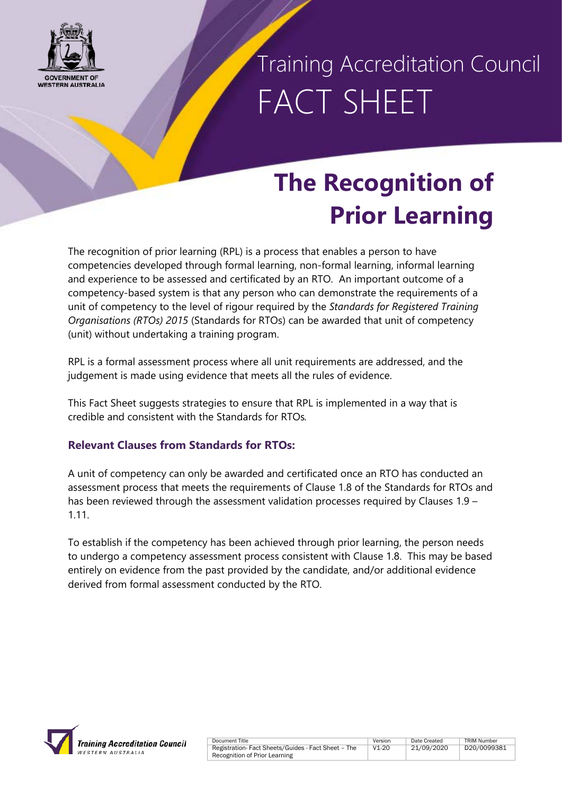

Training Accreditation Council FACT SHEET

### **The Recognition of Prior Learning**

The recognition of prior learning (RPL) is a process that enables a person to have competencies developed through formal learning, non-formal learning, informal learning and experience to be assessed and certificated by an RTO. An important outcome of a competency-based system is that any person who can demonstrate the requirements of a unit of competency to the level of rigour required by the *Standards for Registered Training Organisations (RTOs) 2015* (Standards for RTOs) can be awarded that unit of competency (unit) without undertaking a training program.

RPL is a formal assessment process where all unit requirements are addressed, and the judgement is made using evidence that meets all the rules of evidence.

This Fact Sheet suggests strategies to ensure that RPL is implemented in a way that is credible and consistent with the Standards for RTOs*.*

### **Relevant Clauses from Standards for RTOs:**

A unit of competency can only be awarded and certificated once an RTO has conducted an assessment process that meets the requirements of Clause 1.8 of the Standards for RTOs and has been reviewed through the assessment validation processes required by Clauses 1.9 – 1.11.

To establish if the competency has been achieved through prior learning, the person needs to undergo a competency assessment process consistent with Clause 1.8. This may be based entirely on evidence from the past provided by the candidate, and/or additional evidence derived from formal assessment conducted by the RTO.

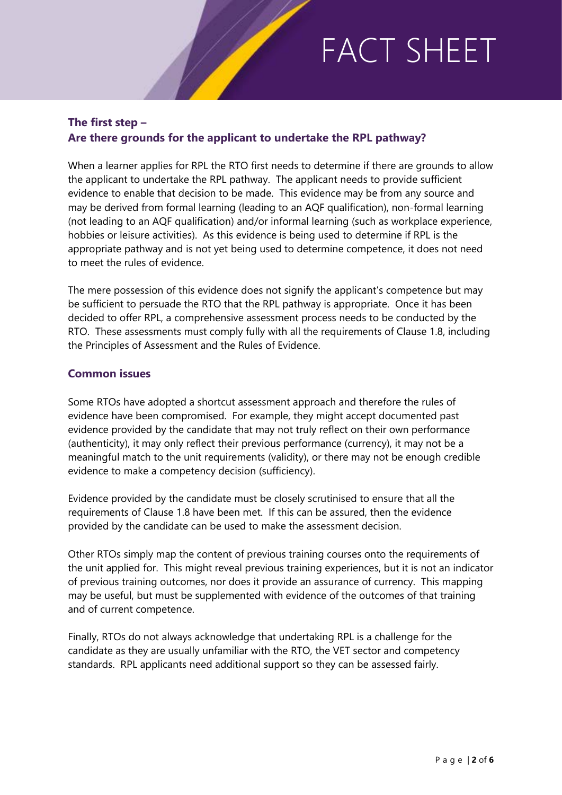### **The first step – Are there grounds for the applicant to undertake the RPL pathway?**

When a learner applies for RPL the RTO first needs to determine if there are grounds to allow the applicant to undertake the RPL pathway. The applicant needs to provide sufficient evidence to enable that decision to be made. This evidence may be from any source and may be derived from formal learning (leading to an AQF qualification), non-formal learning (not leading to an AQF qualification) and/or informal learning (such as workplace experience, hobbies or leisure activities). As this evidence is being used to determine if RPL is the appropriate pathway and is not yet being used to determine competence, it does not need to meet the rules of evidence.

The mere possession of this evidence does not signify the applicant's competence but may be sufficient to persuade the RTO that the RPL pathway is appropriate. Once it has been decided to offer RPL, a comprehensive assessment process needs to be conducted by the RTO. These assessments must comply fully with all the requirements of Clause 1.8, including the Principles of Assessment and the Rules of Evidence.

#### **Common issues**

Some RTOs have adopted a shortcut assessment approach and therefore the rules of evidence have been compromised. For example, they might accept documented past evidence provided by the candidate that may not truly reflect on their own performance (authenticity), it may only reflect their previous performance (currency), it may not be a meaningful match to the unit requirements (validity), or there may not be enough credible evidence to make a competency decision (sufficiency).

Evidence provided by the candidate must be closely scrutinised to ensure that all the requirements of Clause 1.8 have been met. If this can be assured, then the evidence provided by the candidate can be used to make the assessment decision.

Other RTOs simply map the content of previous training courses onto the requirements of the unit applied for. This might reveal previous training experiences, but it is not an indicator of previous training outcomes, nor does it provide an assurance of currency. This mapping may be useful, but must be supplemented with evidence of the outcomes of that training and of current competence.

Finally, RTOs do not always acknowledge that undertaking RPL is a challenge for the candidate as they are usually unfamiliar with the RTO, the VET sector and competency standards. RPL applicants need additional support so they can be assessed fairly.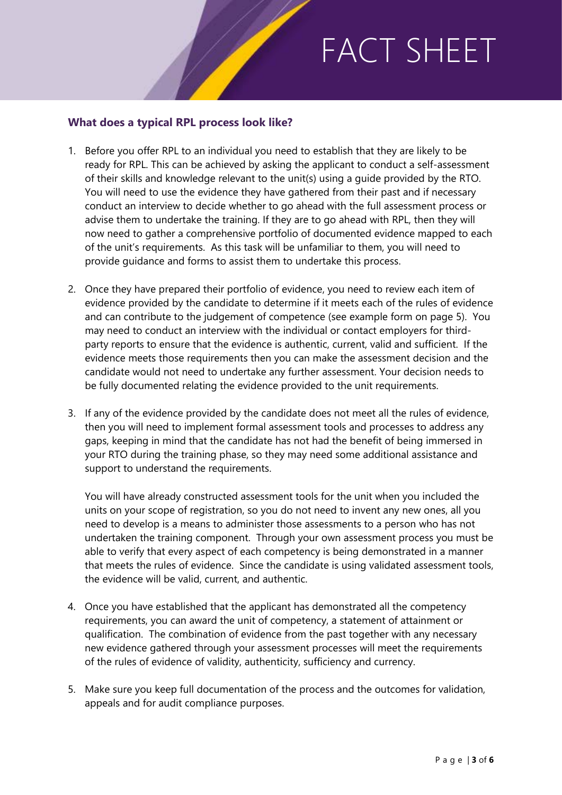#### **What does a typical RPL process look like?**

- 1. Before you offer RPL to an individual you need to establish that they are likely to be ready for RPL. This can be achieved by asking the applicant to conduct a self-assessment of their skills and knowledge relevant to the unit(s) using a guide provided by the RTO. You will need to use the evidence they have gathered from their past and if necessary conduct an interview to decide whether to go ahead with the full assessment process or advise them to undertake the training. If they are to go ahead with RPL, then they will now need to gather a comprehensive portfolio of documented evidence mapped to each of the unit's requirements. As this task will be unfamiliar to them, you will need to provide guidance and forms to assist them to undertake this process.
- 2. Once they have prepared their portfolio of evidence, you need to review each item of evidence provided by the candidate to determine if it meets each of the rules of evidence and can contribute to the judgement of competence (see example form on page 5). You may need to conduct an interview with the individual or contact employers for thirdparty reports to ensure that the evidence is authentic, current, valid and sufficient. If the evidence meets those requirements then you can make the assessment decision and the candidate would not need to undertake any further assessment. Your decision needs to be fully documented relating the evidence provided to the unit requirements.
- 3. If any of the evidence provided by the candidate does not meet all the rules of evidence, then you will need to implement formal assessment tools and processes to address any gaps, keeping in mind that the candidate has not had the benefit of being immersed in your RTO during the training phase, so they may need some additional assistance and support to understand the requirements.

You will have already constructed assessment tools for the unit when you included the units on your scope of registration, so you do not need to invent any new ones, all you need to develop is a means to administer those assessments to a person who has not undertaken the training component. Through your own assessment process you must be able to verify that every aspect of each competency is being demonstrated in a manner that meets the rules of evidence. Since the candidate is using validated assessment tools, the evidence will be valid, current, and authentic.

- 4. Once you have established that the applicant has demonstrated all the competency requirements, you can award the unit of competency, a statement of attainment or qualification. The combination of evidence from the past together with any necessary new evidence gathered through your assessment processes will meet the requirements of the rules of evidence of validity, authenticity, sufficiency and currency.
- 5. Make sure you keep full documentation of the process and the outcomes for validation, appeals and for audit compliance purposes.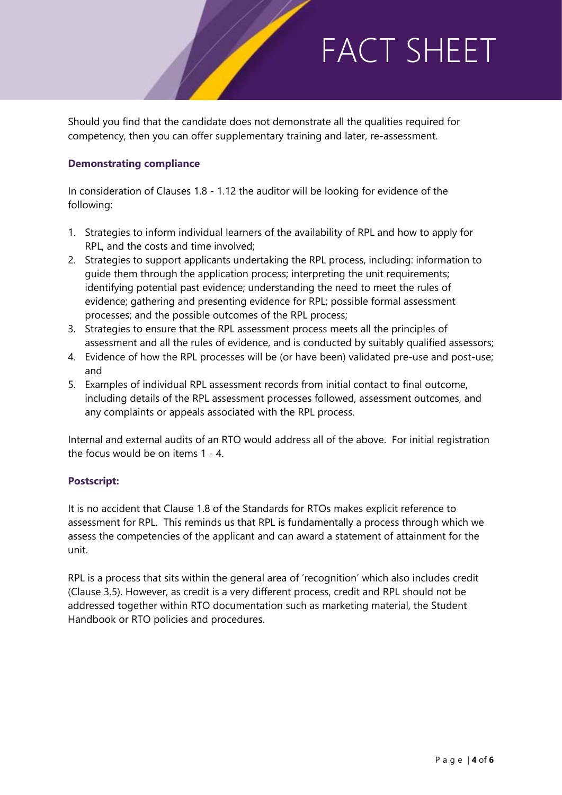Should you find that the candidate does not demonstrate all the qualities required for competency, then you can offer supplementary training and later, re-assessment.

#### **Demonstrating compliance**

In consideration of Clauses 1.8 - 1.12 the auditor will be looking for evidence of the following:

- 1. Strategies to inform individual learners of the availability of RPL and how to apply for RPL, and the costs and time involved;
- 2. Strategies to support applicants undertaking the RPL process, including: information to guide them through the application process; interpreting the unit requirements; identifying potential past evidence; understanding the need to meet the rules of evidence; gathering and presenting evidence for RPL; possible formal assessment processes; and the possible outcomes of the RPL process;
- 3. Strategies to ensure that the RPL assessment process meets all the principles of assessment and all the rules of evidence, and is conducted by suitably qualified assessors;
- 4. Evidence of how the RPL processes will be (or have been) validated pre-use and post-use; and
- 5. Examples of individual RPL assessment records from initial contact to final outcome, including details of the RPL assessment processes followed, assessment outcomes, and any complaints or appeals associated with the RPL process.

Internal and external audits of an RTO would address all of the above. For initial registration the focus would be on items 1 - 4.

#### **Postscript:**

It is no accident that Clause 1.8 of the Standards for RTOs makes explicit reference to assessment for RPL. This reminds us that RPL is fundamentally a process through which we assess the competencies of the applicant and can award a statement of attainment for the unit.

RPL is a process that sits within the general area of 'recognition' which also includes credit (Clause 3.5). However, as credit is a very different process, credit and RPL should not be addressed together within RTO documentation such as marketing material, the Student Handbook or RTO policies and procedures.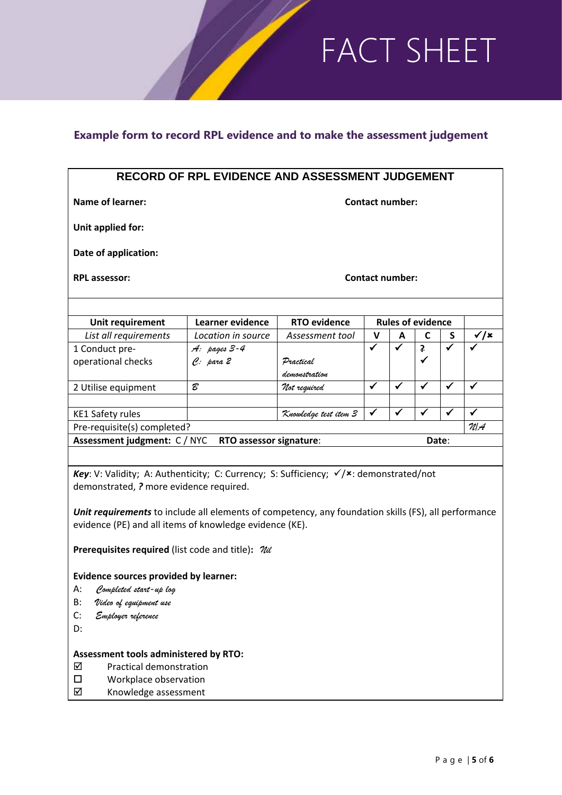### **Example form to record RPL evidence and to make the assessment judgement**

| RECORD OF RPL EVIDENCE AND ASSESSMENT JUDGEMENT                                                         |                          |                            |        |   |                              |   |                           |
|---------------------------------------------------------------------------------------------------------|--------------------------|----------------------------|--------|---|------------------------------|---|---------------------------|
| Name of learner:                                                                                        | <b>Contact number:</b>   |                            |        |   |                              |   |                           |
| Unit applied for:                                                                                       |                          |                            |        |   |                              |   |                           |
| Date of application:                                                                                    |                          |                            |        |   |                              |   |                           |
| <b>RPL assessor:</b>                                                                                    | <b>Contact number:</b>   |                            |        |   |                              |   |                           |
|                                                                                                         | <b>Rules of evidence</b> |                            |        |   |                              |   |                           |
| Unit requirement                                                                                        | Learner evidence         | <b>RTO evidence</b>        |        |   |                              |   |                           |
| List all requirements                                                                                   | Location in source       | Assessment tool            | v<br>✓ | A | $\mathbf c$                  | S | √/×                       |
| 1 Conduct pre-                                                                                          | A: pages 3-4             |                            |        |   | $\overline{\mathbf{f}}$<br>✓ |   |                           |
| operational checks                                                                                      | $e:$ para $2$            | Practical<br>demonstration |        |   |                              |   |                           |
|                                                                                                         | B                        |                            | ✓      | ✓ | ✓                            | ✓ | ✓                         |
| 2 Utilise equipment                                                                                     |                          | Not required               |        |   |                              |   |                           |
|                                                                                                         |                          |                            | ✓      |   |                              |   | ✓                         |
| <b>KE1 Safety rules</b><br>Knowledge test item 3                                                        |                          |                            |        |   |                              |   | $\mathcal{U} \mathcal{A}$ |
| Pre-requisite(s) completed?                                                                             |                          |                            |        |   |                              |   |                           |
| Assessment judgment: C / NYC<br>RTO assessor signature:<br>Date:                                        |                          |                            |        |   |                              |   |                           |
|                                                                                                         |                          |                            |        |   |                              |   |                           |
| <b>Key:</b> V: Validity; A: Authenticity; C: Currency; S: Sufficiency; $\checkmark$ x: demonstrated/not |                          |                            |        |   |                              |   |                           |
| demonstrated, ? more evidence required.                                                                 |                          |                            |        |   |                              |   |                           |
|                                                                                                         |                          |                            |        |   |                              |   |                           |
| Unit requirements to include all elements of competency, any foundation skills (FS), all performance    |                          |                            |        |   |                              |   |                           |
| evidence (PE) and all items of knowledge evidence (KE).                                                 |                          |                            |        |   |                              |   |                           |
|                                                                                                         |                          |                            |        |   |                              |   |                           |
| <b>Prerequisites required</b> (list code and title): $\mathcal{U}\ll$                                   |                          |                            |        |   |                              |   |                           |
| <b>Evidence sources provided by learner:</b>                                                            |                          |                            |        |   |                              |   |                           |
| А:<br>Completed start-up log                                                                            |                          |                            |        |   |                              |   |                           |
| B:<br>Video of equipment use                                                                            |                          |                            |        |   |                              |   |                           |
| C:                                                                                                      |                          |                            |        |   |                              |   |                           |
| Employer reference                                                                                      |                          |                            |        |   |                              |   |                           |
| D:                                                                                                      |                          |                            |        |   |                              |   |                           |

#### **Assessment tools administered by RTO:**

- Practical demonstration
- $\square$  Workplace observation<br>  $\square$  Knowledge assessment
- Knowledge assessment